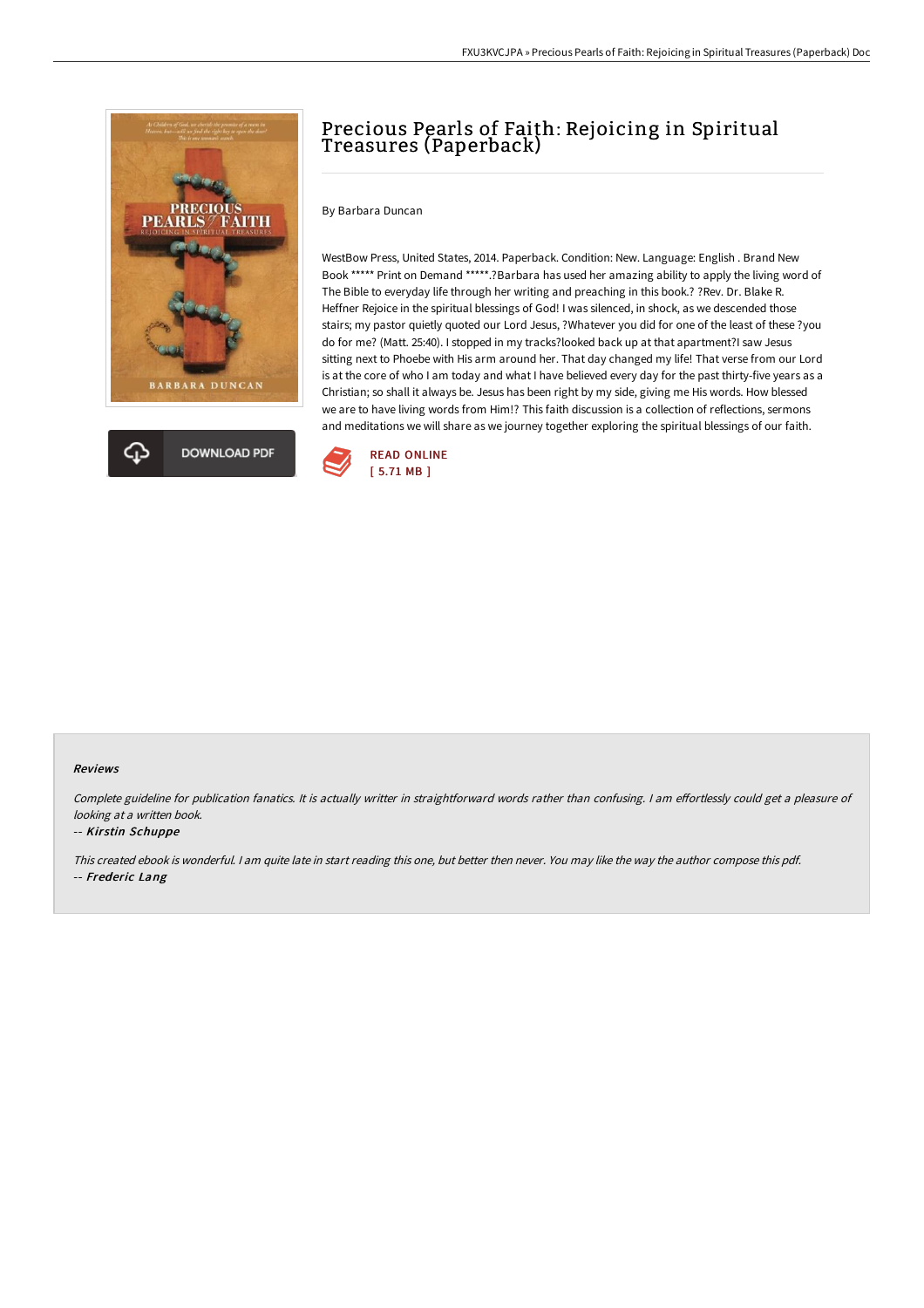



# Precious Pearls of Faith: Rejoicing in Spiritual Treasures (Paperback)

By Barbara Duncan

WestBow Press, United States, 2014. Paperback. Condition: New. Language: English . Brand New Book \*\*\*\*\* Print on Demand \*\*\*\*\*.?Barbara has used her amazing ability to apply the living word of The Bible to everyday life through her writing and preaching in this book.? ?Rev. Dr. Blake R. Heffner Rejoice in the spiritual blessings of God! I was silenced, in shock, as we descended those stairs; my pastor quietly quoted our Lord Jesus, ?Whatever you did for one of the least of these ?you do for me? (Matt. 25:40). I stopped in my tracks?looked back up at that apartment?I saw Jesus sitting next to Phoebe with His arm around her. That day changed my life! That verse from our Lord is at the core of who I am today and what I have believed every day for the past thirty-five years as a Christian; so shall it always be. Jesus has been right by my side, giving me His words. How blessed we are to have living words from Him!? This faith discussion is a collection of reflections, sermons and meditations we will share as we journey together exploring the spiritual blessings of our faith.



#### Reviews

Complete guideline for publication fanatics. It is actually writter in straightforward words rather than confusing. I am effortlessly could get a pleasure of looking at <sup>a</sup> written book.

#### -- Kirstin Schuppe

This created ebook is wonderful. <sup>I</sup> am quite late in start reading this one, but better then never. You may like the way the author compose this pdf. -- Frederic Lang